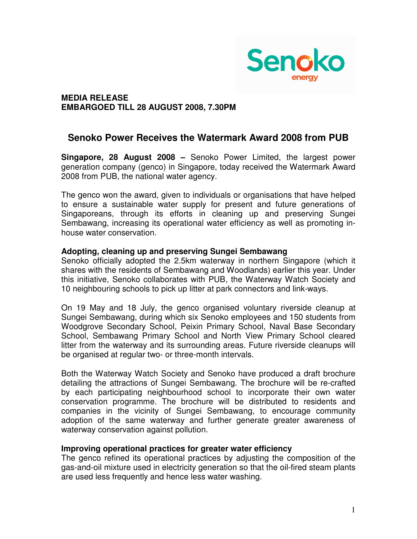

# **MEDIA RELEASE EMBARGOED TILL 28 AUGUST 2008, 7.30PM**

# **Senoko Power Receives the Watermark Award 2008 from PUB**

**Singapore, 28 August 2008 –** Senoko Power Limited, the largest power generation company (genco) in Singapore, today received the Watermark Award 2008 from PUB, the national water agency.

The genco won the award, given to individuals or organisations that have helped to ensure a sustainable water supply for present and future generations of Singaporeans, through its efforts in cleaning up and preserving Sungei Sembawang, increasing its operational water efficiency as well as promoting inhouse water conservation.

### **Adopting, cleaning up and preserving Sungei Sembawang**

Senoko officially adopted the 2.5km waterway in northern Singapore (which it shares with the residents of Sembawang and Woodlands) earlier this year. Under this initiative, Senoko collaborates with PUB, the Waterway Watch Society and 10 neighbouring schools to pick up litter at park connectors and link-ways.

On 19 May and 18 July, the genco organised voluntary riverside cleanup at Sungei Sembawang, during which six Senoko employees and 150 students from Woodgrove Secondary School, Peixin Primary School, Naval Base Secondary School, Sembawang Primary School and North View Primary School cleared litter from the waterway and its surrounding areas. Future riverside cleanups will be organised at regular two- or three-month intervals.

Both the Waterway Watch Society and Senoko have produced a draft brochure detailing the attractions of Sungei Sembawang. The brochure will be re-crafted by each participating neighbourhood school to incorporate their own water conservation programme. The brochure will be distributed to residents and companies in the vicinity of Sungei Sembawang, to encourage community adoption of the same waterway and further generate greater awareness of waterway conservation against pollution.

#### **Improving operational practices for greater water efficiency**

The genco refined its operational practices by adjusting the composition of the gas-and-oil mixture used in electricity generation so that the oil-fired steam plants are used less frequently and hence less water washing.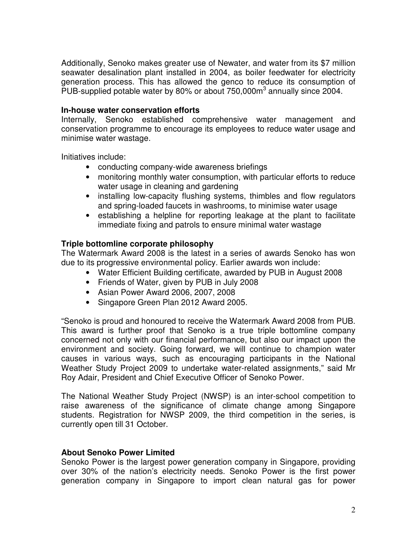Additionally, Senoko makes greater use of Newater, and water from its \$7 million seawater desalination plant installed in 2004, as boiler feedwater for electricity generation process. This has allowed the genco to reduce its consumption of PUB-supplied potable water by 80% or about  $750,000\,\mathrm{m}^3$  annually since 2004.

## **In-house water conservation efforts**

Internally, Senoko established comprehensive water management and conservation programme to encourage its employees to reduce water usage and minimise water wastage.

Initiatives include:

- conducting company-wide awareness briefings
- monitoring monthly water consumption, with particular efforts to reduce water usage in cleaning and gardening
- installing low-capacity flushing systems, thimbles and flow regulators and spring-loaded faucets in washrooms, to minimise water usage
- establishing a helpline for reporting leakage at the plant to facilitate immediate fixing and patrols to ensure minimal water wastage

# **Triple bottomline corporate philosophy**

The Watermark Award 2008 is the latest in a series of awards Senoko has won due to its progressive environmental policy. Earlier awards won include:

- Water Efficient Building certificate, awarded by PUB in August 2008
- Friends of Water, given by PUB in July 2008
- Asian Power Award 2006, 2007, 2008
- Singapore Green Plan 2012 Award 2005.

"Senoko is proud and honoured to receive the Watermark Award 2008 from PUB. This award is further proof that Senoko is a true triple bottomline company concerned not only with our financial performance, but also our impact upon the environment and society. Going forward, we will continue to champion water causes in various ways, such as encouraging participants in the National Weather Study Project 2009 to undertake water-related assignments," said Mr Roy Adair, President and Chief Executive Officer of Senoko Power.

The National Weather Study Project (NWSP) is an inter-school competition to raise awareness of the significance of climate change among Singapore students. Registration for NWSP 2009, the third competition in the series, is currently open till 31 October.

#### **About Senoko Power Limited**

Senoko Power is the largest power generation company in Singapore, providing over 30% of the nation's electricity needs. Senoko Power is the first power generation company in Singapore to import clean natural gas for power